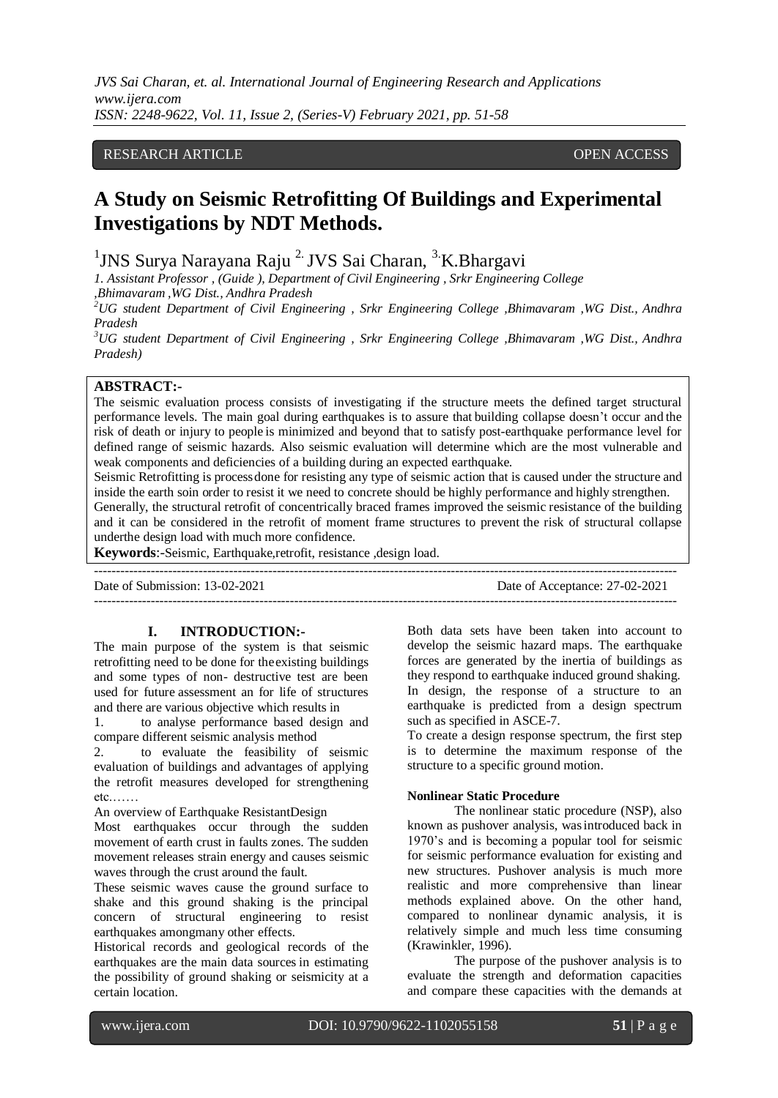*JVS Sai Charan, et. al. International Journal of Engineering Research and Applications www.ijera.com ISSN: 2248-9622, Vol. 11, Issue 2, (Series-V) February 2021, pp. 51-58*

## RESEARCH ARTICLE **CONSERVERS** OPEN ACCESS

## **A Study on Seismic Retrofitting Of Buildings and Experimental Investigations by NDT Methods.**

<sup>1</sup>JNS Surya Narayana Raju<sup>2.</sup> JVS Sai Charan, <sup>3.</sup>K.Bhargavi

*1. Assistant Professor , (Guide ), Department of Civil Engineering , Srkr Engineering College*

*,Bhimavaram ,WG Dist., Andhra Pradesh*

*<sup>2</sup>UG student Department of Civil Engineering , Srkr Engineering College ,Bhimavaram ,WG Dist., Andhra Pradesh*

*<sup>3</sup>UG student Department of Civil Engineering , Srkr Engineering College ,Bhimavaram ,WG Dist., Andhra Pradesh)*

## **ABSTRACT:-**

The seismic evaluation process consists of investigating if the structure meets the defined target structural performance levels. The main goal during earthquakes is to assure that building collapse doesn't occur and the risk of death or injury to people is minimized and beyond that to satisfy post-earthquake performance level for defined range of seismic hazards. Also seismic evaluation will determine which are the most vulnerable and weak components and deficiencies of a building during an expected earthquake.

Seismic Retrofitting is processdone for resisting any type of seismic action that is caused under the structure and inside the earth soin order to resist it we need to concrete should be highly performance and highly strengthen. Generally, the structural retrofit of concentrically braced frames improved the seismic resistance of the building and it can be considered in the retrofit of moment frame structures to prevent the risk of structural collapse underthe design load with much more confidence.

--------------------------------------------------------------------------------------------------------------------------------------

**Keywords**:-Seismic, Earthquake,retrofit, resistance ,design load.

Date of Submission: 13-02-2021 Date of Acceptance: 27-02-2021 --------------------------------------------------------------------------------------------------------------------------------------

## **I. INTRODUCTION:-**

The main purpose of the system is that seismic retrofitting need to be done for theexisting buildings and some types of non- destructive test are been used for future assessment an for life of structures and there are various objective which results in

1. to analyse performance based design and compare different seismic analysis method

2. to evaluate the feasibility of seismic evaluation of buildings and advantages of applying the retrofit measures developed for strengthening etc.……

An overview of Earthquake ResistantDesign Most earthquakes occur through the sudden movement of earth crust in faults zones. The sudden movement releases strain energy and causes seismic waves through the crust around the fault.

These seismic waves cause the ground surface to shake and this ground shaking is the principal concern of structural engineering to resist earthquakes amongmany other effects.

Historical records and geological records of the earthquakes are the main data sources in estimating the possibility of ground shaking or seismicity at a certain location.

Both data sets have been taken into account to develop the seismic hazard maps. The earthquake forces are generated by the inertia of buildings as they respond to earthquake induced ground shaking. In design, the response of a structure to an earthquake is predicted from a design spectrum such as specified in ASCE-7.

To create a design response spectrum, the first step is to determine the maximum response of the structure to a specific ground motion.

## **Nonlinear Static Procedure**

The nonlinear static procedure (NSP), also known as pushover analysis, wasintroduced back in 1970's and is becoming a popular tool for seismic for seismic performance evaluation for existing and new structures. Pushover analysis is much more realistic and more comprehensive than linear methods explained above. On the other hand, compared to nonlinear dynamic analysis, it is relatively simple and much less time consuming (Krawinkler, 1996).

The purpose of the pushover analysis is to evaluate the strength and deformation capacities and compare these capacities with the demands at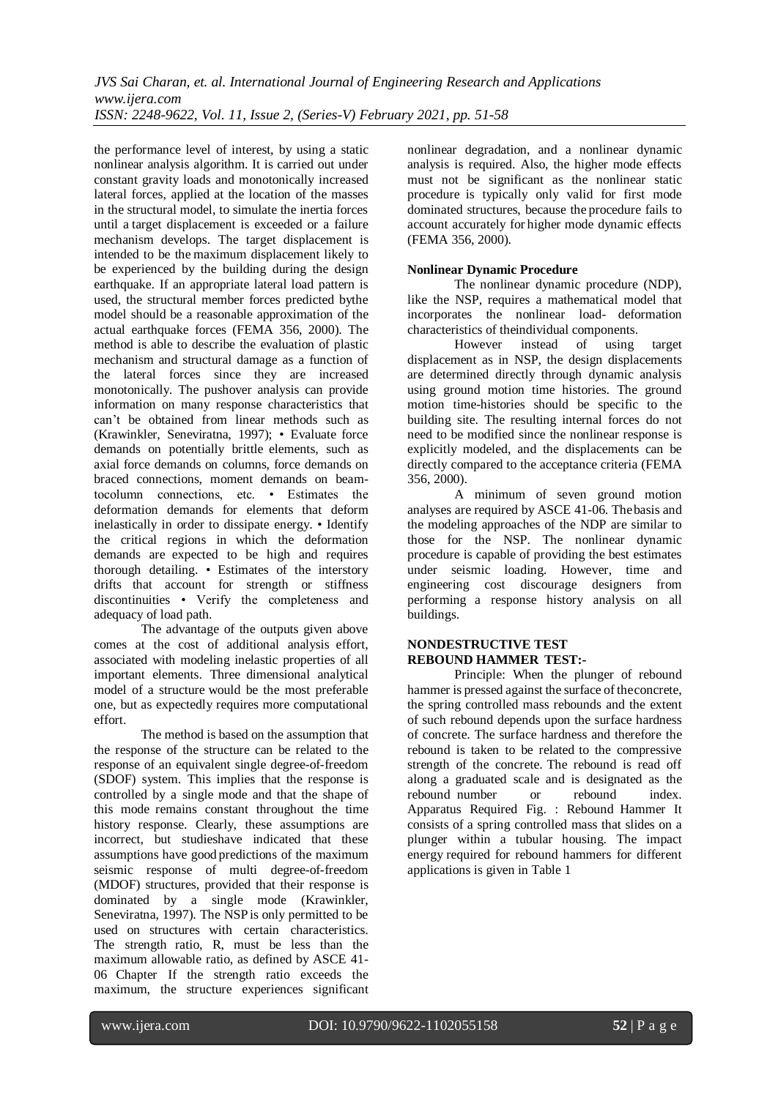the performance level of interest, by using a static nonlinear analysis algorithm. It is carried out under constant gravity loads and monotonically increased lateral forces, applied at the location of the masses in the structural model, to simulate the inertia forces until a target displacement is exceeded or a failure mechanism develops. The target displacement is intended to be the maximum displacement likely to be experienced by the building during the design earthquake. If an appropriate lateral load pattern is used, the structural member forces predicted bythe model should be a reasonable approximation of the actual earthquake forces (FEMA 356, 2000). The method is able to describe the evaluation of plastic mechanism and structural damage as a function of the lateral forces since they are increased monotonically. The pushover analysis can provide information on many response characteristics that can't be obtained from linear methods such as (Krawinkler, Seneviratna, 1997); • Evaluate force demands on potentially brittle elements, such as axial force demands on columns, force demands on braced connections, moment demands on beamtocolumn connections, etc. • Estimates the deformation demands for elements that deform inelastically in order to dissipate energy. • Identify the critical regions in which the deformation demands are expected to be high and requires thorough detailing. • Estimates of the interstory drifts that account for strength or stiffness discontinuities • Verify the completeness and adequacy of load path.

The advantage of the outputs given above comes at the cost of additional analysis effort, associated with modeling inelastic properties of all important elements. Three dimensional analytical model of a structure would be the most preferable one, but as expectedly requires more computational effort.

The method is based on the assumption that the response of the structure can be related to the response of an equivalent single degree-of-freedom (SDOF) system. This implies that the response is controlled by a single mode and that the shape of this mode remains constant throughout the time history response. Clearly, these assumptions are incorrect, but studieshave indicated that these assumptions have good predictions of the maximum seismic response of multi degree-of-freedom (MDOF) structures, provided that their response is dominated by a single mode (Krawinkler, Seneviratna, 1997). The NSPis only permitted to be used on structures with certain characteristics. The strength ratio, R, must be less than the maximum allowable ratio, as defined by ASCE 41- 06 Chapter If the strength ratio exceeds the maximum, the structure experiences significant

nonlinear degradation, and a nonlinear dynamic analysis is required. Also, the higher mode effects must not be significant as the nonlinear static procedure is typically only valid for first mode dominated structures, because the procedure fails to account accurately for higher mode dynamic effects (FEMA 356, 2000).

## **Nonlinear Dynamic Procedure**

The nonlinear dynamic procedure (NDP), like the NSP, requires a mathematical model that incorporates the nonlinear load- deformation characteristics of theindividual components.

However instead of using target displacement as in NSP, the design displacements are determined directly through dynamic analysis using ground motion time histories. The ground motion time-histories should be specific to the building site. The resulting internal forces do not need to be modified since the nonlinear response is explicitly modeled, and the displacements can be directly compared to the acceptance criteria (FEMA 356, 2000).

A minimum of seven ground motion analyses are required by ASCE 41-06. Thebasis and the modeling approaches of the NDP are similar to those for the NSP. The nonlinear dynamic procedure is capable of providing the best estimates under seismic loading. However, time and engineering cost discourage designers from performing a response history analysis on all buildings.

## **NONDESTRUCTIVE TEST REBOUND HAMMER TEST:-**

Principle: When the plunger of rebound hammer is pressed against the surface of theconcrete, the spring controlled mass rebounds and the extent of such rebound depends upon the surface hardness of concrete. The surface hardness and therefore the rebound is taken to be related to the compressive strength of the concrete. The rebound is read off along a graduated scale and is designated as the rebound number or rebound index. Apparatus Required Fig. : Rebound Hammer It consists of a spring controlled mass that slides on a plunger within a tubular housing. The impact energy required for rebound hammers for different applications is given in Table 1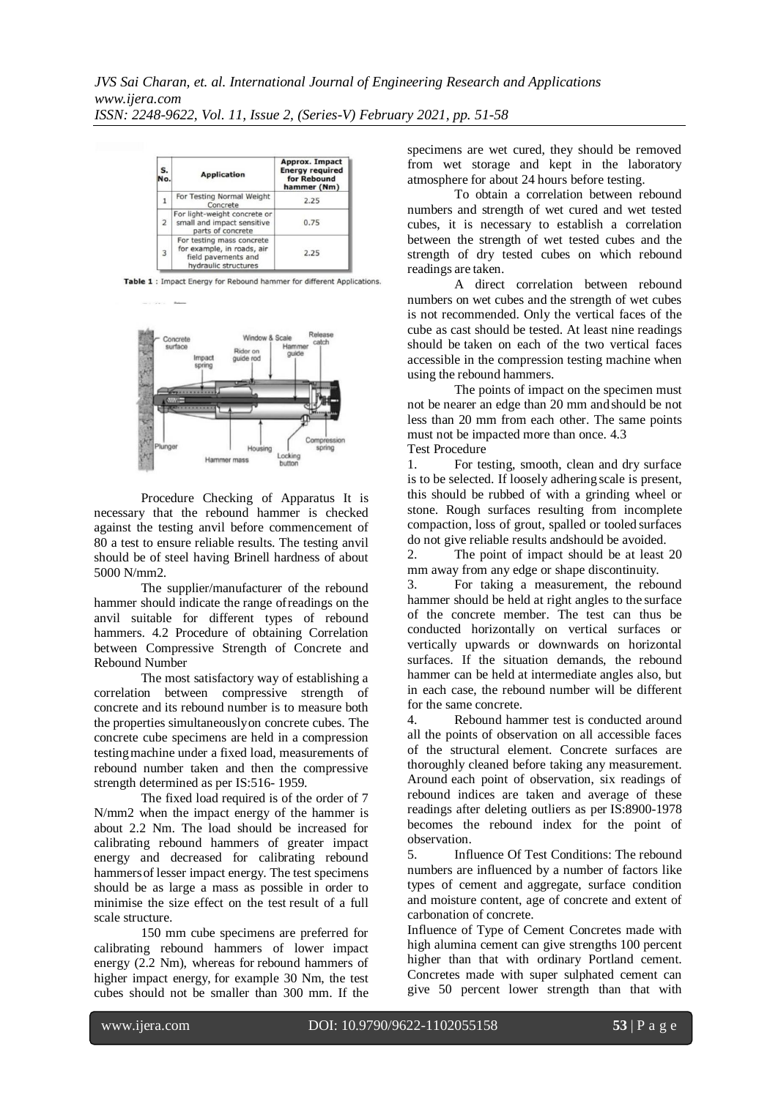| S.<br>No.      | <b>Application</b>                                                                                     | <b>Approx. Impact</b><br><b>Energy required</b><br>for Rebound<br>hammer (Nm) |
|----------------|--------------------------------------------------------------------------------------------------------|-------------------------------------------------------------------------------|
|                | For Testing Normal Weight<br>Concrete                                                                  | 2.25                                                                          |
| $\overline{2}$ | For light-weight concrete or<br>small and impact sensitive<br>parts of concrete                        | 0.75                                                                          |
| 3              | For testing mass concrete<br>for example, in roads, air<br>field pavements and<br>hydraulic structures | 2.25                                                                          |

Table 1: Impact Energy for Rebound hammer for different Applications.



Procedure Checking of Apparatus It is necessary that the rebound hammer is checked against the testing anvil before commencement of 80 a test to ensure reliable results. The testing anvil should be of steel having Brinell hardness of about 5000 N/mm2.

The supplier/manufacturer of the rebound hammer should indicate the range ofreadings on the anvil suitable for different types of rebound hammers. 4.2 Procedure of obtaining Correlation between Compressive Strength of Concrete and Rebound Number

The most satisfactory way of establishing a correlation between compressive strength of concrete and its rebound number is to measure both the properties simultaneouslyon concrete cubes. The concrete cube specimens are held in a compression testingmachine under a fixed load, measurements of rebound number taken and then the compressive strength determined as per IS:516- 1959.

The fixed load required is of the order of 7 N/mm2 when the impact energy of the hammer is about 2.2 Nm. The load should be increased for calibrating rebound hammers of greater impact energy and decreased for calibrating rebound hammersof lesser impact energy. The test specimens should be as large a mass as possible in order to minimise the size effect on the test result of a full scale structure.

150 mm cube specimens are preferred for calibrating rebound hammers of lower impact energy (2.2 Nm), whereas for rebound hammers of higher impact energy, for example 30 Nm, the test cubes should not be smaller than 300 mm. If the

specimens are wet cured, they should be removed from wet storage and kept in the laboratory atmosphere for about 24 hours before testing.

To obtain a correlation between rebound numbers and strength of wet cured and wet tested cubes, it is necessary to establish a correlation between the strength of wet tested cubes and the strength of dry tested cubes on which rebound readings are taken.

A direct correlation between rebound numbers on wet cubes and the strength of wet cubes is not recommended. Only the vertical faces of the cube as cast should be tested. At least nine readings should be taken on each of the two vertical faces accessible in the compression testing machine when using the rebound hammers.

The points of impact on the specimen must not be nearer an edge than 20 mm andshould be not less than 20 mm from each other. The same points must not be impacted more than once. 4.3 Test Procedure

1. For testing, smooth, clean and dry surface is to be selected. If loosely adhering scale is present, this should be rubbed of with a grinding wheel or stone. Rough surfaces resulting from incomplete compaction, loss of grout, spalled or tooled surfaces do not give reliable results andshould be avoided.

2. The point of impact should be at least 20 mm away from any edge or shape discontinuity.

3. For taking a measurement, the rebound hammer should be held at right angles to the surface of the concrete member. The test can thus be conducted horizontally on vertical surfaces or vertically upwards or downwards on horizontal surfaces. If the situation demands, the rebound hammer can be held at intermediate angles also, but in each case, the rebound number will be different for the same concrete.

4. Rebound hammer test is conducted around all the points of observation on all accessible faces of the structural element. Concrete surfaces are thoroughly cleaned before taking any measurement. Around each point of observation, six readings of rebound indices are taken and average of these readings after deleting outliers as per IS:8900-1978 becomes the rebound index for the point of observation.

5. Influence Of Test Conditions: The rebound numbers are influenced by a number of factors like types of cement and aggregate, surface condition and moisture content, age of concrete and extent of carbonation of concrete.

Influence of Type of Cement Concretes made with high alumina cement can give strengths 100 percent higher than that with ordinary Portland cement. Concretes made with super sulphated cement can give 50 percent lower strength than that with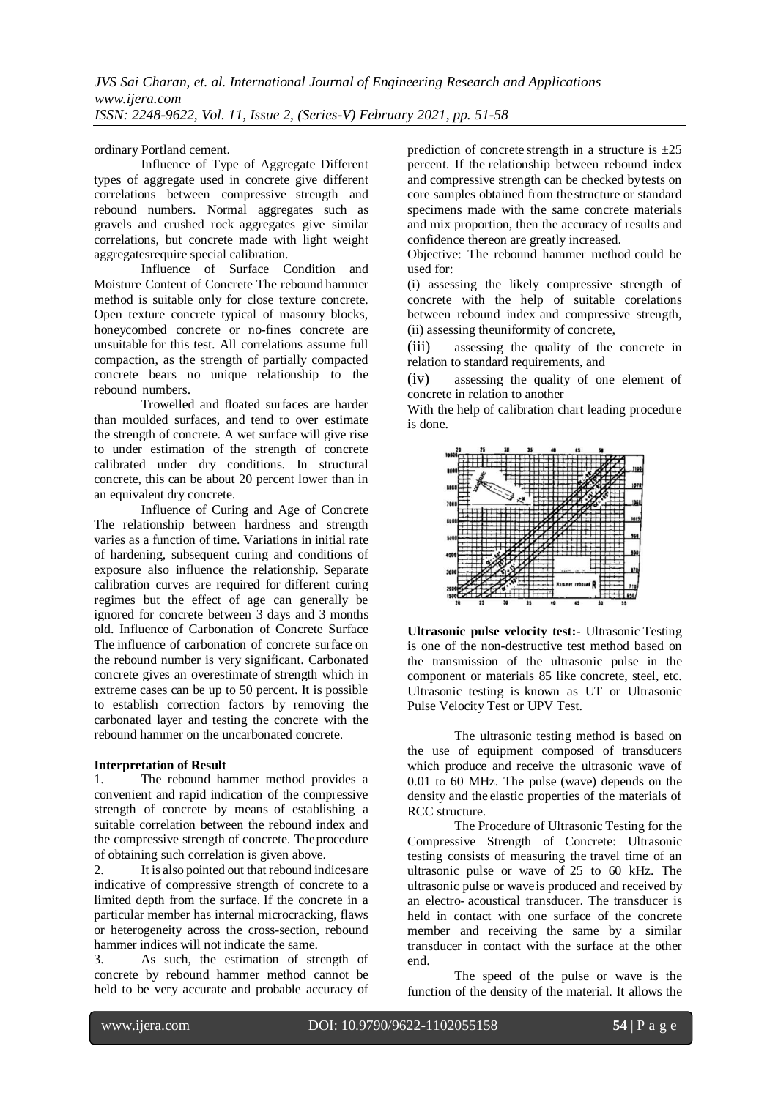ordinary Portland cement.

Influence of Type of Aggregate Different types of aggregate used in concrete give different correlations between compressive strength and rebound numbers. Normal aggregates such as gravels and crushed rock aggregates give similar correlations, but concrete made with light weight aggregatesrequire special calibration.

Influence of Surface Condition and Moisture Content of Concrete The rebound hammer method is suitable only for close texture concrete. Open texture concrete typical of masonry blocks, honeycombed concrete or no-fines concrete are unsuitable for this test. All correlations assume full compaction, as the strength of partially compacted concrete bears no unique relationship to the rebound numbers.

Trowelled and floated surfaces are harder than moulded surfaces, and tend to over estimate the strength of concrete. A wet surface will give rise to under estimation of the strength of concrete calibrated under dry conditions. In structural concrete, this can be about 20 percent lower than in an equivalent dry concrete.

Influence of Curing and Age of Concrete The relationship between hardness and strength varies as a function of time. Variations in initial rate of hardening, subsequent curing and conditions of exposure also influence the relationship. Separate calibration curves are required for different curing regimes but the effect of age can generally be ignored for concrete between 3 days and 3 months old. Influence of Carbonation of Concrete Surface The influence of carbonation of concrete surface on the rebound number is very significant. Carbonated concrete gives an overestimate of strength which in extreme cases can be up to 50 percent. It is possible to establish correction factors by removing the carbonated layer and testing the concrete with the rebound hammer on the uncarbonated concrete.

## **Interpretation of Result**

1. The rebound hammer method provides a convenient and rapid indication of the compressive strength of concrete by means of establishing a suitable correlation between the rebound index and the compressive strength of concrete. Theprocedure of obtaining such correlation is given above.

2. It is also pointed out that rebound indicesare indicative of compressive strength of concrete to a limited depth from the surface. If the concrete in a particular member has internal microcracking, flaws or heterogeneity across the cross-section, rebound hammer indices will not indicate the same.

3. As such, the estimation of strength of concrete by rebound hammer method cannot be held to be very accurate and probable accuracy of

prediction of concrete strength in a structure is  $\pm 25$ percent. If the relationship between rebound index and compressive strength can be checked bytests on core samples obtained from thestructure or standard specimens made with the same concrete materials and mix proportion, then the accuracy of results and confidence thereon are greatly increased.

Objective: The rebound hammer method could be used for:

(i) assessing the likely compressive strength of concrete with the help of suitable corelations between rebound index and compressive strength, (ii) assessing theuniformity of concrete,

(iii) assessing the quality of the concrete in relation to standard requirements, and

(iv) assessing the quality of one element of concrete in relation to another

With the help of calibration chart leading procedure is done.



**Ultrasonic pulse velocity test:-** Ultrasonic Testing is one of the non-destructive test method based on the transmission of the ultrasonic pulse in the component or materials 85 like concrete, steel, etc. Ultrasonic testing is known as UT or Ultrasonic Pulse Velocity Test or UPV Test.

The ultrasonic testing method is based on the use of equipment composed of transducers which produce and receive the ultrasonic wave of 0.01 to 60 MHz. The pulse (wave) depends on the density and the elastic properties of the materials of RCC structure.

The Procedure of Ultrasonic Testing for the Compressive Strength of Concrete: Ultrasonic testing consists of measuring the travel time of an ultrasonic pulse or wave of 25 to 60 kHz. The ultrasonic pulse or waveis produced and received by an electro- acoustical transducer. The transducer is held in contact with one surface of the concrete member and receiving the same by a similar transducer in contact with the surface at the other end.

The speed of the pulse or wave is the function of the density of the material. It allows the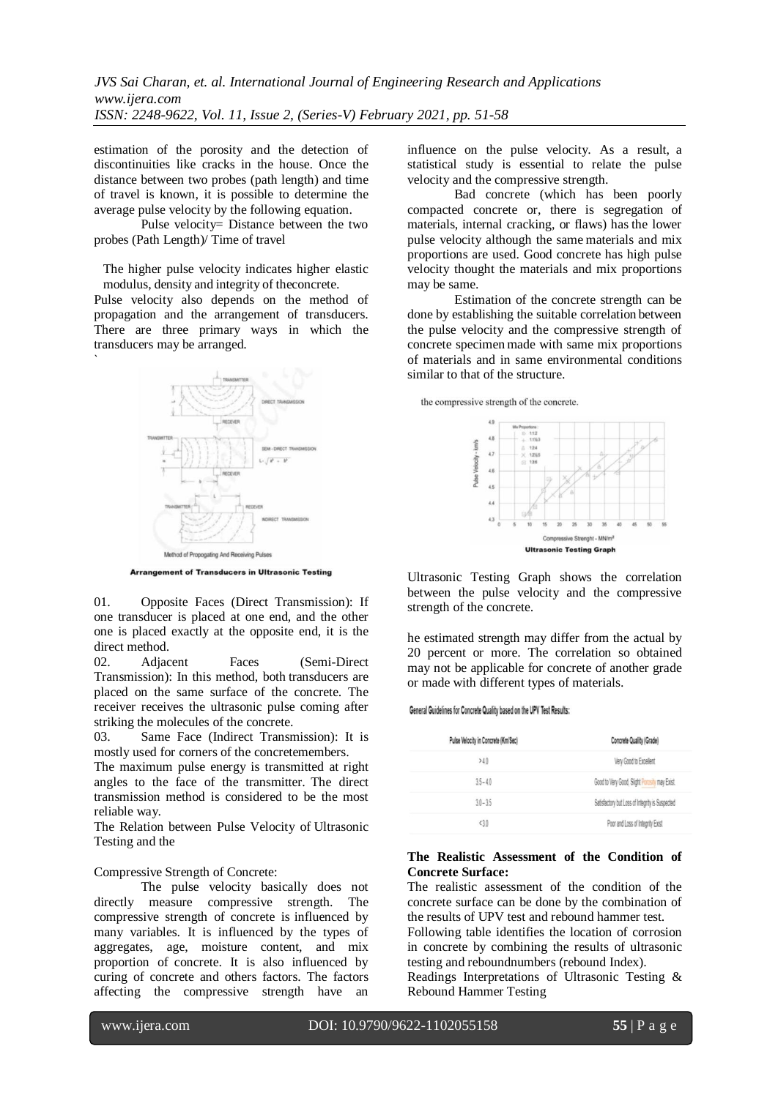estimation of the porosity and the detection of discontinuities like cracks in the house. Once the distance between two probes (path length) and time of travel is known, it is possible to determine the average pulse velocity by the following equation.

Pulse velocity= Distance between the two probes (Path Length)/ Time of travel

The higher pulse velocity indicates higher elastic modulus, density and integrity of theconcrete.

Pulse velocity also depends on the method of propagation and the arrangement of transducers. There are three primary ways in which the transducers may be arranged.



**Arrangement of Transducers in Ultrasonic Testing** 

01. Opposite Faces (Direct Transmission): If one transducer is placed at one end, and the other one is placed exactly at the opposite end, it is the direct method.

02. Adjacent Faces (Semi-Direct Transmission): In this method, both transducers are placed on the same surface of the concrete. The receiver receives the ultrasonic pulse coming after striking the molecules of the concrete.

03. Same Face (Indirect Transmission): It is mostly used for corners of the concretemembers.

The maximum pulse energy is transmitted at right angles to the face of the transmitter. The direct transmission method is considered to be the most reliable way.

The Relation between Pulse Velocity of Ultrasonic Testing and the

## Compressive Strength of Concrete:

The pulse velocity basically does not directly measure compressive strength. The compressive strength of concrete is influenced by many variables. It is influenced by the types of aggregates, age, moisture content, and mix proportion of concrete. It is also influenced by curing of concrete and others factors. The factors affecting the compressive strength have an

influence on the pulse velocity. As a result, a statistical study is essential to relate the pulse velocity and the compressive strength.

Bad concrete (which has been poorly compacted concrete or, there is segregation of materials, internal cracking, or flaws) has the lower pulse velocity although the same materials and mix proportions are used. Good concrete has high pulse velocity thought the materials and mix proportions may be same.

Estimation of the concrete strength can be done by establishing the suitable correlation between the pulse velocity and the compressive strength of concrete specimen made with same mix proportions of materials and in same environmental conditions similar to that of the structure.

the compressive strength of the concrete.



Ultrasonic Testing Graph shows the correlation between the pulse velocity and the compressive strength of the concrete.

he estimated strength may differ from the actual by 20 percent or more. The correlation so obtained may not be applicable for concrete of another grade or made with different types of materials.

#### General Guidelines for Concrete Quality based on the UPV Test Results:

| Pulse Velocity in Concrete (Km/Sec) | Concrete Quality (Grade)                        |
|-------------------------------------|-------------------------------------------------|
| >40                                 | Very Good to Excellent                          |
| $35 - 40$                           | Good to Very Good, Slight Porosily may Exist.   |
| $30 - 35$                           | Satisfactory but Loss of Integrity is Suspected |
| < 30                                | Poor and Loss of Integrity Exist                |

## **The Realistic Assessment of the Condition of Concrete Surface:**

The realistic assessment of the condition of the concrete surface can be done by the combination of the results of UPV test and rebound hammer test. Following table identifies the location of corrosion in concrete by combining the results of ultrasonic testing and reboundnumbers (rebound Index). Readings Interpretations of Ultrasonic Testing & Rebound Hammer Testing

l

`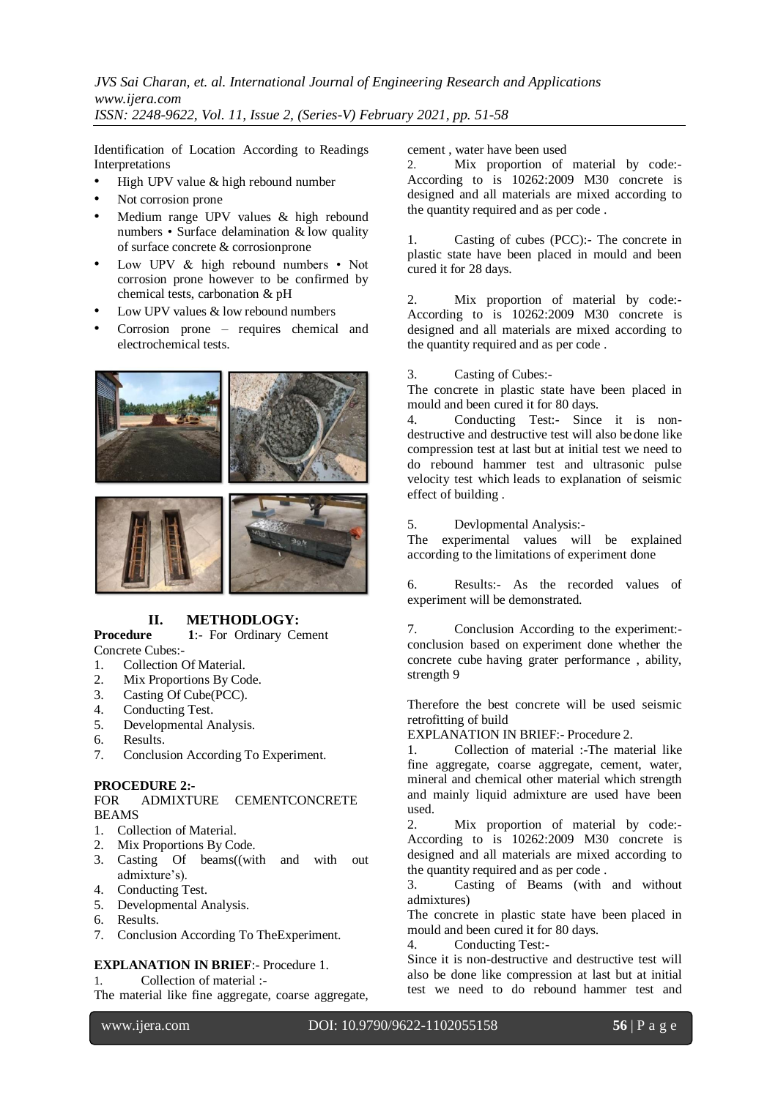Identification of Location According to Readings Interpretations

- High UPV value & high rebound number
- Not corrosion prone
- Medium range UPV values & high rebound numbers • Surface delamination & low quality of surface concrete & corrosionprone
- Low UPV & high rebound numbers Not corrosion prone however to be confirmed by chemical tests, carbonation & pH
- Low UPV values & low rebound numbers
- Corrosion prone requires chemical and electrochemical tests.





# **II. METHODLOGY:**<br>**Procedure 1:** For Ordinary Ce

1:- For Ordinary Cement Concrete Cubes:-

- 1. Collection Of Material.
- 2. Mix Proportions By Code.
- 3. Casting Of Cube(PCC).
- 4. Conducting Test.
- 5. Developmental Analysis.
- 6. Results.
- 7. Conclusion According To Experiment.

## **PROCEDURE 2:-**

## FOR ADMIXTURE CEMENTCONCRETE BEAMS

- 1. Collection of Material.
- 2. Mix Proportions By Code.
- 3. Casting Of beams((with and with out admixture's).
- 4. Conducting Test.
- 5. Developmental Analysis.
- 6. Results.
- 7. Conclusion According To TheExperiment.

## **EXPLANATION IN BRIEF**:- Procedure 1.

1. Collection of material :-

The material like fine aggregate, coarse aggregate,

cement , water have been used

2. Mix proportion of material by code:- According to is 10262:2009 M30 concrete is designed and all materials are mixed according to the quantity required and as per code .

1. Casting of cubes (PCC):- The concrete in plastic state have been placed in mould and been cured it for 28 days.

2. Mix proportion of material by code:- According to is 10262:2009 M30 concrete is designed and all materials are mixed according to the quantity required and as per code .

3. Casting of Cubes:-

The concrete in plastic state have been placed in mould and been cured it for 80 days.

4. Conducting Test:- Since it is nondestructive and destructive test will also bedone like compression test at last but at initial test we need to do rebound hammer test and ultrasonic pulse velocity test which leads to explanation of seismic effect of building .

5. Devlopmental Analysis:-

The experimental values will be explained according to the limitations of experiment done

6. Results:- As the recorded values of experiment will be demonstrated.

7. Conclusion According to the experiment: conclusion based on experiment done whether the concrete cube having grater performance , ability, strength 9

Therefore the best concrete will be used seismic retrofitting of build

EXPLANATION IN BRIEF:- Procedure 2.

1. Collection of material :-The material like fine aggregate, coarse aggregate, cement, water, mineral and chemical other material which strength and mainly liquid admixture are used have been used.

2. Mix proportion of material by code:- According to is 10262:2009 M30 concrete is designed and all materials are mixed according to the quantity required and as per code .

3. Casting of Beams (with and without admixtures)

The concrete in plastic state have been placed in mould and been cured it for 80 days.

4. Conducting Test:-

Since it is non-destructive and destructive test will also be done like compression at last but at initial test we need to do rebound hammer test and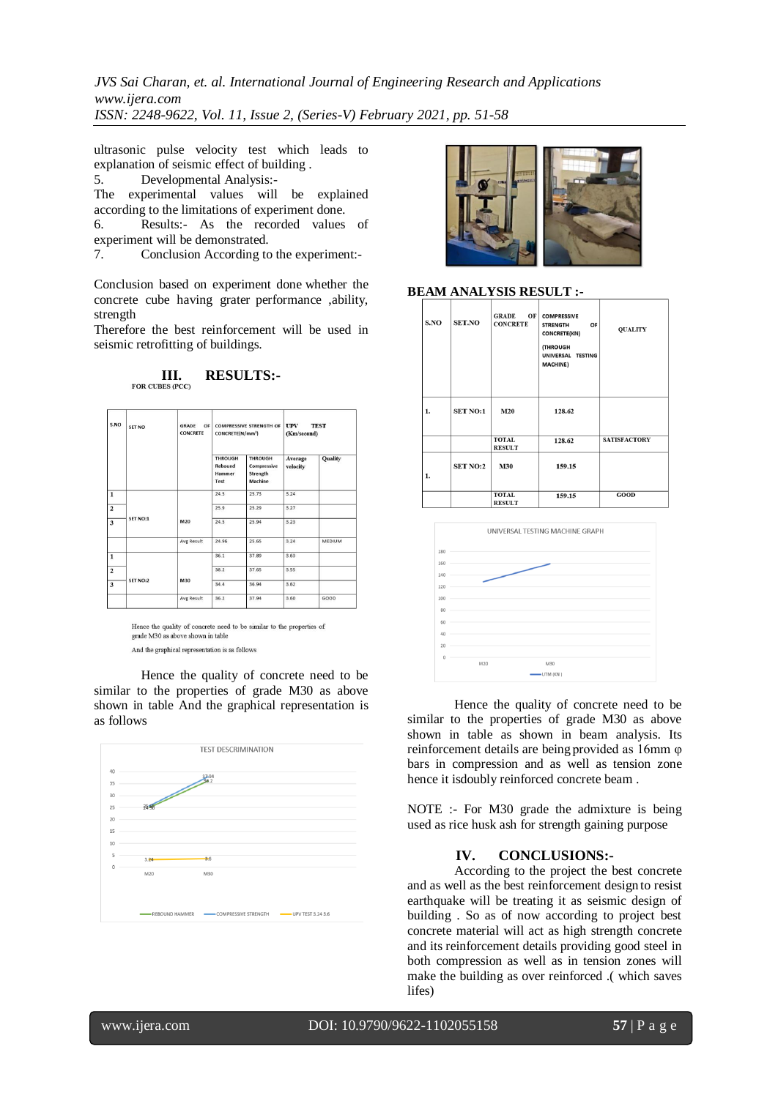*JVS Sai Charan, et. al. International Journal of Engineering Research and Applications www.ijera.com ISSN: 2248-9622, Vol. 11, Issue 2, (Series-V) February 2021, pp. 51-58*

ultrasonic pulse velocity test which leads to explanation of seismic effect of building .

5. Developmental Analysis:-

The experimental values will be explained according to the limitations of experiment done.

6. Results:- As the recorded values of experiment will be demonstrated.

7. Conclusion According to the experiment:-

Conclusion based on experiment done whether the concrete cube having grater performance ,ability, strength

Therefore the best reinforcement will be used in seismic retrofitting of buildings.

**III. RESULTS:** 

| S.NO                    | SET NO   | <b>GRADE</b><br>OF<br><b>CONCRETE</b> | <b>COMPRESSIVE STRENGTH OF</b><br>CONCRETE(N/mm <sup>2</sup> ) |                                                      | <b>TEST</b><br><b>UPV</b><br>(Km/second) |               |
|-------------------------|----------|---------------------------------------|----------------------------------------------------------------|------------------------------------------------------|------------------------------------------|---------------|
|                         |          |                                       | <b>THROUGH</b><br>Rebound<br><b>Hammer</b><br>Test             | <b>THROUGH</b><br>Compressive<br>Strength<br>Machine | Average<br>velocity                      | Quality       |
| $\overline{1}$          |          |                                       | 24.5                                                           | 25.73                                                | 3.24                                     |               |
| $\overline{2}$          |          |                                       | 25.9                                                           | 25.29                                                | 3.27                                     |               |
| $\overline{\mathbf{3}}$ | SET NO:1 | M20                                   | 24.5                                                           | 25.94                                                | 3.23                                     |               |
|                         |          | Avg Result                            | 24.96                                                          | 25.65                                                | 3.24                                     | <b>MEDIUM</b> |
| $\mathbf{1}$            |          | M30                                   | 36.1                                                           | 37.89                                                | 3.63                                     |               |
| $\overline{\mathbf{c}}$ |          |                                       | 38.2                                                           | 37.65                                                | 3.55                                     |               |
| $\mathbf{3}$            | SET NO:2 |                                       | 34.4                                                           | 36.94                                                | 3.62                                     |               |
|                         |          | Avg Result                            | 36.2                                                           | 37.94                                                | 3.60                                     | GOOD          |

Hence the quality of concrete need to be similar to the properties of grade M30 as above shown in table

And the graphical representation is as follows

Hence the quality of concrete need to be similar to the properties of grade M30 as above shown in table And the graphical representation is as follows





## **BEAM ANALYSIS RESULT :-**

| S.NO | <b>SET.NO</b>   | OF<br><b>GRADE</b><br><b>CONCRETE</b> | <b>COMPRESSIVE</b><br><b>STRENGTH</b><br>OF<br><b>CONCRETE(KN)</b><br>(THROUGH<br>UNIVERSAL TESTING<br><b>MACHINE)</b> | <b>QUALITY</b>      |
|------|-----------------|---------------------------------------|------------------------------------------------------------------------------------------------------------------------|---------------------|
| 1.   | <b>SET NO:1</b> | M20                                   | 128.62                                                                                                                 |                     |
|      |                 | <b>TOTAL</b><br><b>RESULT</b>         | 128.62                                                                                                                 | <b>SATISFACTORY</b> |
| 1.   | <b>SET NO:2</b> | <b>M30</b>                            | 159.15                                                                                                                 |                     |
|      |                 | <b>TOTAL</b><br><b>RESULT</b>         | 159.15                                                                                                                 | <b>GOOD</b>         |



Hence the quality of concrete need to be similar to the properties of grade M30 as above shown in table as shown in beam analysis. Its reinforcement details are being provided as 16mm φ bars in compression and as well as tension zone hence it isdoubly reinforced concrete beam .

NOTE :- For M30 grade the admixture is being used as rice husk ash for strength gaining purpose

## **IV. CONCLUSIONS:-**

According to the project the best concrete and as well as the best reinforcement design to resist earthquake will be treating it as seismic design of building . So as of now according to project best concrete material will act as high strength concrete and its reinforcement details providing good steel in both compression as well as in tension zones will make the building as over reinforced .( which saves lifes)